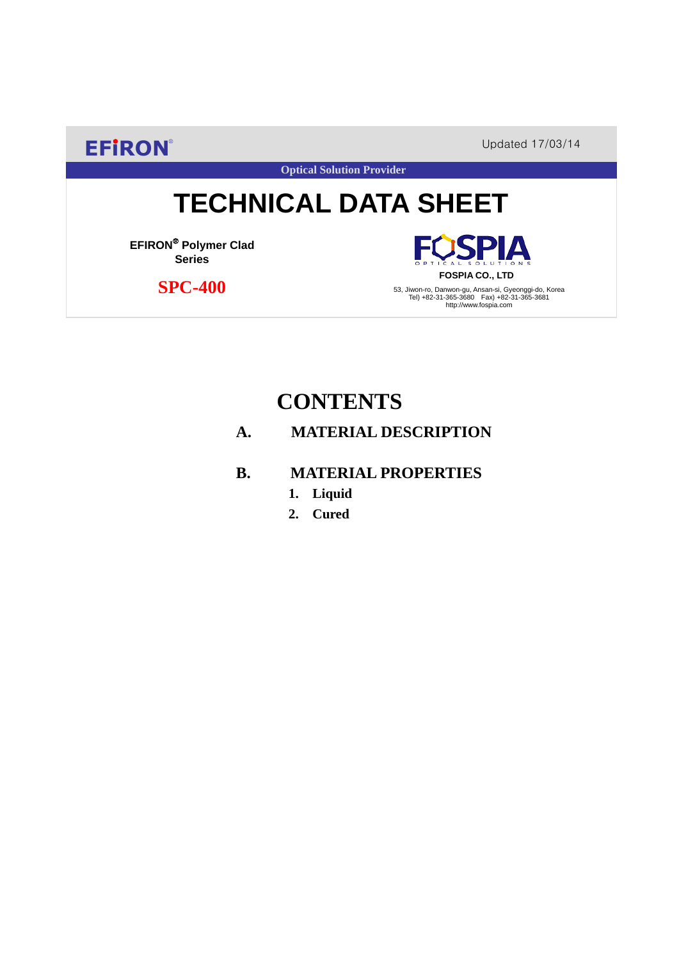**EFIRON®** Updated 17/03/14

**Optical Solution Provider**

# **TECHNICAL DATA SHEET**

**EFIRON**® **Polymer Clad Series**

 **SPC-400**

**SPIA FOSPIA CO., LTD**

53, Jiwon-ro, Danwon-gu, Ansan-si, Gyeonggi-do, Korea Tel) +82-31-365-3680 Fax) +82-31-365-3681 http://www.fospia.com

## **CONTENTS**

### **A. MATERIAL DESCRIPTION**

#### **B. MATERIAL PROPERTIES**

- **1. Liquid**
- **2. Cured**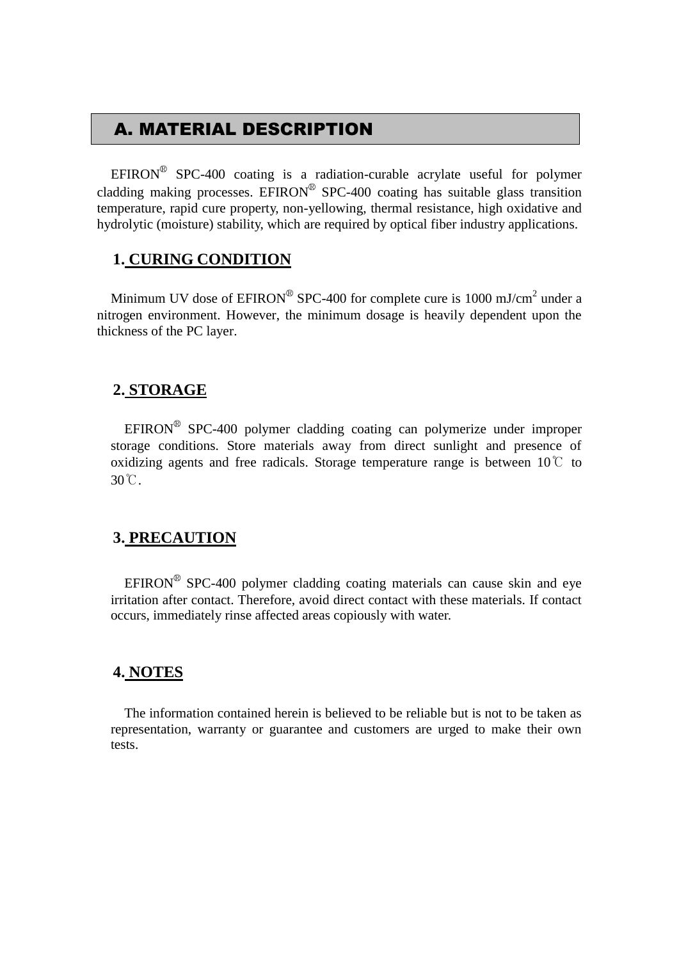## A. MATERIAL DESCRIPTION

EFIRON<sup>®</sup> SPC-400 coating is a radiation-curable acrylate useful for polymer cladding making processes. EFIRON<sup>®</sup> SPC-400 coating has suitable glass transition temperature, rapid cure property, non-yellowing, thermal resistance, high oxidative and hydrolytic (moisture) stability, which are required by optical fiber industry applications.

#### **1. CURING CONDITION**

Minimum UV dose of  $EPIRON^{\circledR}$  SPC-400 for complete cure is 1000 mJ/cm<sup>2</sup> under a nitrogen environment. However, the minimum dosage is heavily dependent upon the thickness of the PC layer.

#### **2. STORAGE**

 $EFINON^{\circledR}$  SPC-400 polymer cladding coating can polymerize under improper storage conditions. Store materials away from direct sunlight and presence of oxidizing agents and free radicals. Storage temperature range is between  $10^{\circ}$  to 30℃.

#### **3. PRECAUTION**

 $EFINON^{\circledR}$  SPC-400 polymer cladding coating materials can cause skin and eye irritation after contact. Therefore, avoid direct contact with these materials. If contact occurs, immediately rinse affected areas copiously with water.

#### **4. NOTES**

The information contained herein is believed to be reliable but is not to be taken as representation, warranty or guarantee and customers are urged to make their own tests.